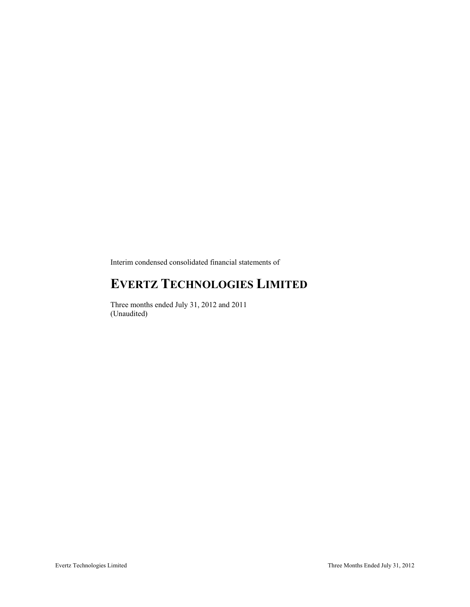Interim condensed consolidated financial statements of

# **EVERTZ TECHNOLOGIES LIMITED**

Three months ended July 31, 2012 and 2011 (Unaudited)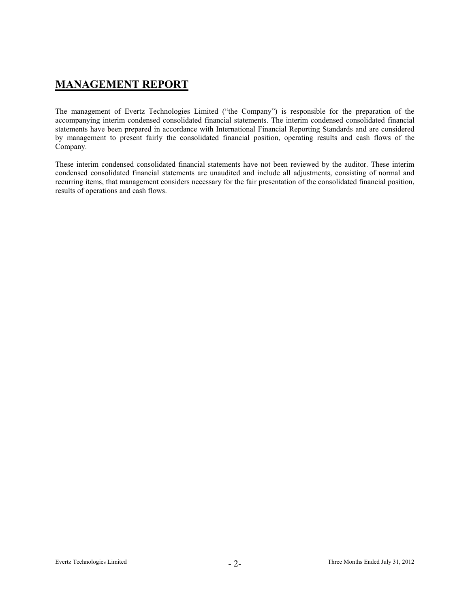## **MANAGEMENT REPORT**

The management of Evertz Technologies Limited ("the Company") is responsible for the preparation of the accompanying interim condensed consolidated financial statements. The interim condensed consolidated financial statements have been prepared in accordance with International Financial Reporting Standards and are considered by management to present fairly the consolidated financial position, operating results and cash flows of the Company.

These interim condensed consolidated financial statements have not been reviewed by the auditor. These interim condensed consolidated financial statements are unaudited and include all adjustments, consisting of normal and recurring items, that management considers necessary for the fair presentation of the consolidated financial position, results of operations and cash flows.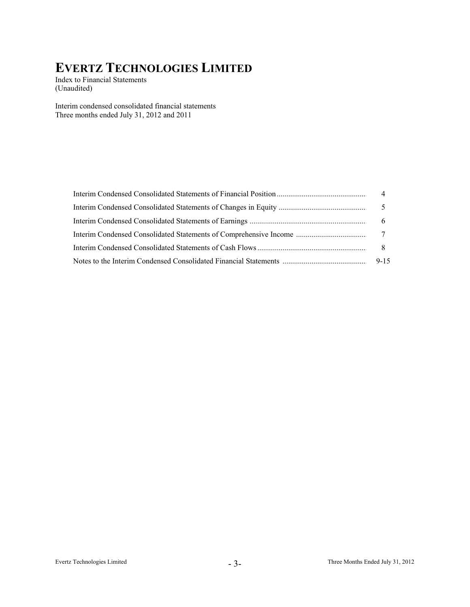Index to Financial Statements (Unaudited)

Interim condensed consolidated financial statements Three months ended July 31, 2012 and 2011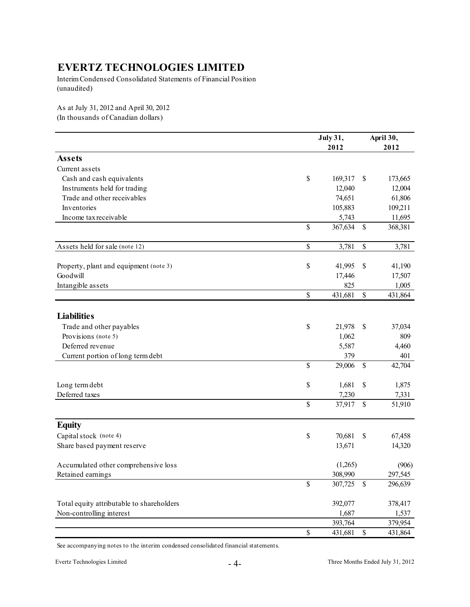Interim Condensed Consolidated Statements of Financial Position (unaudited)

As at July 31, 2012 and April 30, 2012 (In thousands of Canadian dollars)

|                                           |               | <b>July 31,</b> |                                   | April 30, |
|-------------------------------------------|---------------|-----------------|-----------------------------------|-----------|
|                                           |               | 2012            |                                   | 2012      |
| <b>Assets</b>                             |               |                 |                                   |           |
| Current assets                            |               |                 |                                   |           |
| Cash and cash equivalents                 | \$            | 169,317         | \$                                | 173,665   |
| Instruments held for trading              |               | 12,040          |                                   | 12,004    |
| Trade and other receivables               |               | 74,651          |                                   | 61,806    |
| Inventories                               |               | 105,883         |                                   | 109,211   |
| Income tax receivable                     |               | 5,743           |                                   | 11,695    |
|                                           | \$            | 367,634         | \$                                | 368,381   |
| Assets held for sale (note 12)            | $\mathbb S$   | 3,781           | \$                                | 3,781     |
| Property, plant and equipment (note 3)    | \$            | 41,995          | \$                                | 41,190    |
| Goodwill                                  |               | 17,446          |                                   | 17,507    |
| Intangible assets                         |               | 825             |                                   | 1,005     |
|                                           | \$            | 431,681         | \$                                | 431,864   |
| <b>Liabilities</b>                        |               |                 |                                   |           |
|                                           |               |                 |                                   |           |
| Trade and other payables                  | \$            | 21,978          | \$                                | 37,034    |
| Provisions (note 5)                       |               | 1,062           |                                   | 809       |
| Deferred revenue                          |               | 5,587           |                                   | 4,460     |
| Current portion of long term debt         |               | 379             |                                   | 401       |
|                                           | \$            | 29,006          | \$                                | 42,704    |
| Long term debt                            | \$            | 1,681           | \$                                | 1,875     |
| Deferred taxes                            |               | 7,230           |                                   | 7,331     |
|                                           | \$            | 37,917          | \$                                | 51,910    |
| <b>Equity</b>                             |               |                 |                                   |           |
| Capital stock (note 4)                    | \$            | 70,681          | \$                                | 67,458    |
| Share based payment reserve               |               | 13,671          |                                   | 14,320    |
| Accumulated other comprehensive loss      |               | (1,265)         |                                   | (906)     |
| Retained earnings                         |               | 308,990         |                                   | 297,545   |
|                                           | $\mathbb S$   | 307,725         | \$                                | 296,639   |
| Total equity attributable to shareholders |               | 392,077         |                                   | 378,417   |
| Non-controlling interest                  |               | 1,687           |                                   | 1,537     |
|                                           |               | 393,764         |                                   | 379,954   |
|                                           | $\mathsf{\$}$ | 431,681         | $\mathbb{S}% _{t}\left( t\right)$ | 431,864   |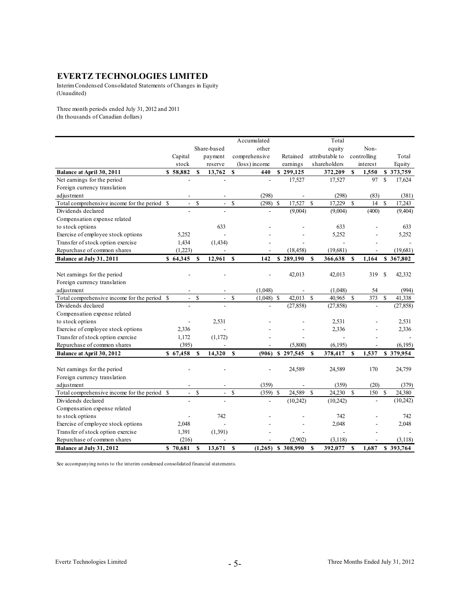Interim Condensed Consolidated Statements of Changes in Equity (Unaudited)

Three month periods ended July 31, 2012 and 2011 (In thousands of Canadian dollars)

|                                              |              |                          |               |                          |              | Accumulated   |             |           |               | Total           |               |                          |               |           |
|----------------------------------------------|--------------|--------------------------|---------------|--------------------------|--------------|---------------|-------------|-----------|---------------|-----------------|---------------|--------------------------|---------------|-----------|
|                                              |              |                          |               | Share-based              |              | other         |             |           |               | equity          |               | Non-                     |               |           |
|                                              |              | Capital                  |               | payment                  |              | comprehensive |             | Retained  |               | attributable to |               | controlling              |               | Total     |
|                                              |              | stock                    |               | reserve                  |              | (loss) income |             | earnings  |               | shareholders    |               | interest                 |               | Equity    |
| Balance at April 30, 2011                    |              | \$58,882                 | $\mathbf S$   | 13,762                   | S            | 440           |             | \$299,125 |               | 372,209         | $\mathbf{s}$  | 1,550                    |               | \$373,759 |
| Net earnings for the period                  |              |                          |               |                          |              |               |             | 17,527    |               | 17,527          |               | 97                       | <sup>\$</sup> | 17,624    |
| Foreign currency translation                 |              |                          |               |                          |              |               |             |           |               |                 |               |                          |               |           |
| adjustment                                   |              |                          |               |                          |              | (298)         |             |           |               | (298)           |               | (83)                     |               | (381)     |
| Total comprehensive income for the period \$ |              | $\frac{1}{2}$            | <sup>\$</sup> | $\mathcal{L}$            | $\mathbf S$  | $(298)$ \$    |             | 17.527    | $\mathcal{S}$ | 17.229          | $\mathcal{S}$ | 14                       | \$            | 17.243    |
| Dividends declared                           |              |                          |               |                          |              |               |             | (9,004)   |               | (9,004)         |               | (400)                    |               | (9,404)   |
| Compensation expense related                 |              |                          |               |                          |              |               |             |           |               |                 |               |                          |               |           |
| to stock options                             |              |                          |               | 633                      |              |               |             |           |               | 633             |               |                          |               | 633       |
| Exercise of employee stock options           |              | 5,252                    |               | L,                       |              |               |             |           |               | 5,252           |               |                          |               | 5,252     |
| Transfer of stock option exercise            |              | 1,434                    |               | (1, 434)                 |              |               |             |           |               |                 |               |                          |               |           |
| Repurchase of common shares                  |              | (1,223)                  |               |                          |              |               |             | (18, 458) |               | (19,681)        |               |                          |               | (19,681)  |
| Balance at July 31, 2011                     |              | \$64,345                 | S             | 12,961                   | S            | 142           |             | \$289,190 | S             | 366,638         | S             | 1,164                    |               | \$367,802 |
|                                              |              |                          |               |                          |              |               |             |           |               |                 |               |                          |               |           |
| Net earnings for the period                  |              |                          |               |                          |              |               |             | 42,013    |               | 42,013          |               | 319                      | \$            | 42,332    |
| Foreign currency translation                 |              |                          |               |                          |              |               |             |           |               |                 |               |                          |               |           |
| adjustment                                   |              |                          |               |                          |              | (1,048)       |             |           |               | (1,048)         |               | 54                       |               | (994)     |
| Total comprehensive income for the period    | <sup>S</sup> | $\overline{\phantom{a}}$ | <sup>\$</sup> | $\overline{\phantom{a}}$ | \$           | $(1,048)$ \$  |             | 42,013    | $\mathbf S$   | 40,965          | $\mathbb{S}$  | 373                      | \$            | 41,338    |
| Dividends declared                           |              |                          |               |                          |              | ÷,            |             | (27, 858) |               | (27, 858)       |               | $\overline{a}$           |               | (27, 858) |
| Compensation expense related                 |              |                          |               |                          |              |               |             |           |               |                 |               |                          |               |           |
| to stock options                             |              |                          |               | 2,531                    |              |               |             |           |               | 2,531           |               |                          |               | 2,531     |
| Exercise of employee stock options           |              | 2,336                    |               |                          |              |               |             |           |               | 2,336           |               |                          |               | 2,336     |
| Transfer of stock option exercise            |              | 1,172                    |               | (1,172)                  |              |               |             |           |               |                 |               |                          |               |           |
| Repurchase of common shares                  |              | (395)                    |               |                          |              |               |             | (5,800)   |               | (6, 195)        |               | $\overline{\phantom{a}}$ |               | (6, 195)  |
| Balance at April 30, 2012                    |              | \$67,458                 | $\mathbf{s}$  | 14,320                   | \$           | (906)         |             | \$297,545 | $\mathbf S$   | 378,417         | S             | 1,537                    |               | \$379,954 |
|                                              |              |                          |               |                          |              |               |             |           |               |                 |               |                          |               |           |
| Net earnings for the period                  |              |                          |               |                          |              |               |             | 24,589    |               | 24,589          |               | 170                      |               | 24,759    |
| Foreign currency translation                 |              |                          |               |                          |              |               |             |           |               |                 |               |                          |               |           |
| adjustment                                   |              |                          |               |                          |              | (359)         |             |           |               | (359)           |               | (20)                     |               | (379)     |
| Total comprehensive income for the period \$ |              | $\overline{\phantom{a}}$ | $\mathbf S$   | $\overline{\phantom{a}}$ | $\mathbb{S}$ | (359)         | $\mathbf S$ | 24,589    | $\mathbf S$   | 24.230          | $\mathbf S$   | 150                      | $\mathbf S$   | 24.380    |
| Dividends declared                           |              |                          |               |                          |              |               |             | (10, 242) |               | (10,242)        |               |                          |               | (10,242)  |
| Compensation expense related                 |              |                          |               |                          |              |               |             |           |               |                 |               |                          |               |           |
| to stock options                             |              |                          |               | 742                      |              |               |             |           |               | 742             |               |                          |               | 742       |
| Exercise of employee stock options           |              | 2,048                    |               |                          |              |               |             |           |               | 2,048           |               |                          |               | 2,048     |
| Transfer of stock option exercise            |              | 1,391                    |               | (1,391)                  |              |               |             |           |               |                 |               |                          |               |           |
| Repurchase of common shares                  |              | (216)                    |               |                          |              |               |             | (2,902)   |               | (3,118)         |               |                          |               | (3, 118)  |
| Balance at July 31, 2012                     |              | \$70,681                 | $\mathbf S$   | 13.671                   | S            | (1, 265)      |             | \$308,990 | S             | 392.077         | S             | 1,687                    |               | \$393,764 |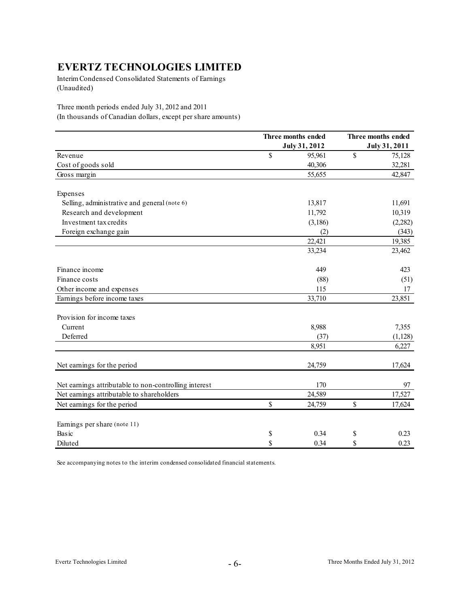Interim Condensed Consolidated Statements of Earnings (Unaudited)

Three month periods ended July 31, 2012 and 2011 (In thousands of Canadian dollars, except per share amounts)

|                                                       | Three months ended | Three months ended |
|-------------------------------------------------------|--------------------|--------------------|
|                                                       | July 31, 2012      | July 31, 2011      |
| Revenue                                               | \$<br>95,961       | \$<br>75,128       |
| Cost of goods sold                                    | 40,306             | 32,281             |
| Gross margin                                          | 55,655             | 42,847             |
| Expenses                                              |                    |                    |
| Selling, administrative and general (note 6)          | 13,817             | 11,691             |
| Research and development                              | 11,792             | 10,319             |
| Investment tax credits                                | (3,186)            | (2,282)            |
| Foreign exchange gain                                 | (2)                | (343)              |
|                                                       | 22,421             | 19,385             |
|                                                       | 33,234             | 23,462             |
| Finance income                                        | 449                | 423                |
| Finance costs                                         | (88)               | (51)               |
| Other income and expenses                             | 115                | 17                 |
| Earnings before income taxes                          | 33,710             | 23,851             |
| Provision for income taxes                            |                    |                    |
| Current                                               | 8,988              | 7,355              |
| Deferred                                              | (37)               | (1,128)            |
|                                                       | 8,951              | 6,227              |
| Net earnings for the period                           | 24,759             | 17,624             |
| Net earnings attributable to non-controlling interest | 170                | 97                 |
| Net earnings attributable to shareholders             | 24,589             | 17,527             |
| Net earnings for the period                           | \$<br>24,759       | \$<br>17,624       |
| Earnings per share (note 11)                          |                    |                    |
| Basic                                                 | \$<br>0.34         | \$<br>0.23         |
| Diluted                                               | \$<br>0.34         | \$<br>0.23         |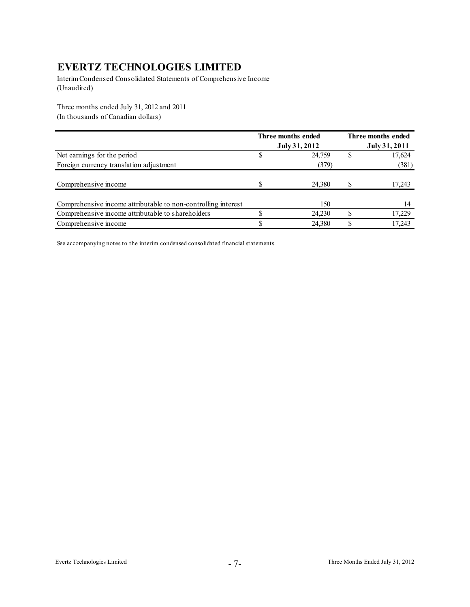Interim Condensed Consolidated Statements of Comprehensive Income (Unaudited)

Three months ended July 31, 2012 and 2011 (In thousands of Canadian dollars)

|                                                               | Three months ended<br>July 31, 2012 | Three months ended<br>July 31, 2011 |
|---------------------------------------------------------------|-------------------------------------|-------------------------------------|
| Net earnings for the period                                   | 24,759                              | 17,624                              |
| Foreign currency translation adjustment                       | (379)                               | (381)                               |
| Comprehensive income                                          | 24,380                              | 17,243                              |
| Comprehensive income attributable to non-controlling interest | 150                                 | 14                                  |
| Comprehensive income attributable to shareholders             | 24,230                              | 17,229                              |
| Comprehensive income                                          | 24,380                              | 17,243                              |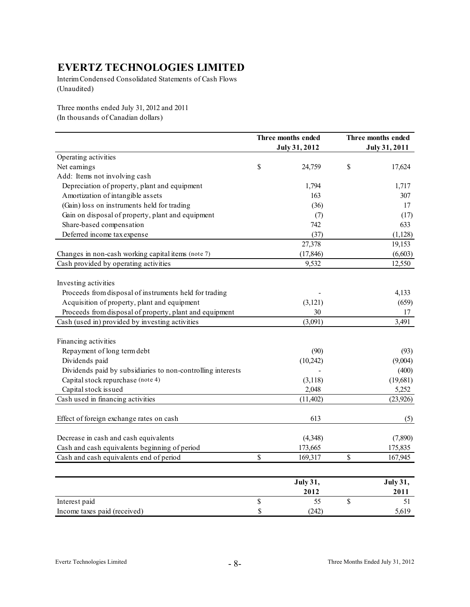Interim Condensed Consolidated Statements of Cash Flows (Unaudited)

Three months ended July 31, 2012 and 2011 (In thousands of Canadian dollars)

|                                                             | Three months ended<br>July 31, 2012 |    | Three months ended |
|-------------------------------------------------------------|-------------------------------------|----|--------------------|
| Operating activities                                        |                                     |    | July 31, 2011      |
| Net earnings                                                | \$<br>24,759                        | \$ | 17,624             |
| Add: Items not involving cash                               |                                     |    |                    |
| Depreciation of property, plant and equipment               | 1,794                               |    | 1,717              |
| Amortization of intangible assets                           | 163                                 |    | 307                |
| (Gain) loss on instruments held for trading                 | (36)                                |    | 17                 |
| Gain on disposal of property, plant and equipment           | (7)                                 |    | (17)               |
| Share-based compensation                                    | 742                                 |    | 633                |
| Deferred income tax expense                                 | (37)                                |    | (1,128)            |
|                                                             | 27,378                              |    | 19,153             |
| Changes in non-cash working capital items (note 7)          | (17, 846)                           |    | (6,603)            |
| Cash provided by operating activities                       | 9,532                               |    | 12,550             |
|                                                             |                                     |    |                    |
| Investing activities                                        |                                     |    |                    |
| Proceeds from disposal of instruments held for trading      |                                     |    | 4,133              |
| Acquisition of property, plant and equipment                | (3, 121)                            |    | (659)              |
| Proceeds from disposal of property, plant and equipment     | 30                                  |    | 17                 |
| Cash (used in) provided by investing activities             | (3,091)                             |    | 3,491              |
| Financing activities                                        |                                     |    |                    |
| Repayment of long term debt                                 | (90)                                |    | (93)               |
| Dividends paid                                              | (10, 242)                           |    | (9,004)            |
| Dividends paid by subsidiaries to non-controlling interests |                                     |    | (400)              |
| Capital stock repurchase (note 4)                           | (3,118)                             |    | (19,681)           |
| Capital stock issued                                        | 2,048                               |    | 5,252              |
| Cash used in financing activities                           | (11, 402)                           |    | (23, 926)          |
|                                                             |                                     |    |                    |
| Effect of foreign exchange rates on cash                    | 613                                 |    | (5)                |
| Decrease in cash and cash equivalents                       | (4,348)                             |    | (7,890)            |
| Cash and cash equivalents beginning of period               | 173,665                             |    | 175,835            |
| Cash and cash equivalents end of period                     | \$<br>169,317                       | \$ | 167,945            |
|                                                             |                                     |    |                    |
|                                                             | <b>July 31,</b>                     |    | July 31,           |
|                                                             | 2012                                |    | 2011               |
| Interest paid                                               | \$<br>55                            | \$ | 51                 |
| Income taxes paid (received)                                | \$<br>(242)                         |    | 5,619              |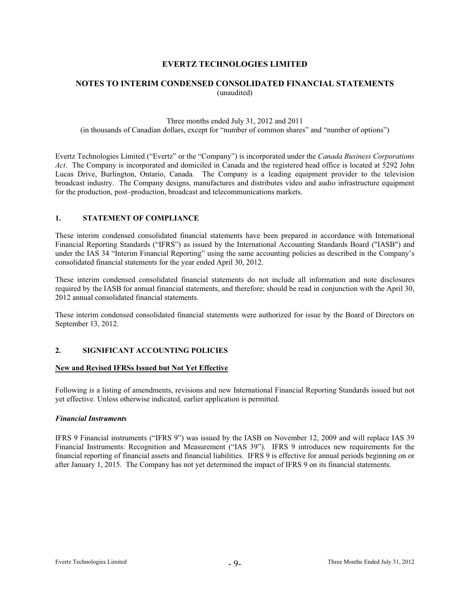#### **NOTES TO INTERIM CONDENSED CONSOLIDATED FINANCIAL STATEMENTS**  (unaudited)

#### Three months ended July 31, 2012 and 2011 (in thousands of Canadian dollars, except for "number of common shares" and "number of options")

Evertz Technologies Limited ("Evertz" or the "Company") is incorporated under the *Canada Business Corporations Act*. The Company is incorporated and domiciled in Canada and the registered head office is located at 5292 John Lucas Drive, Burlington, Ontario, Canada. The Company is a leading equipment provider to the television broadcast industry. The Company designs, manufactures and distributes video and audio infrastructure equipment for the production, post–production, broadcast and telecommunications markets.

#### **1. STATEMENT OF COMPLIANCE**

These interim condensed consolidated financial statements have been prepared in accordance with International Financial Reporting Standards ("IFRS") as issued by the International Accounting Standards Board ("IASB") and under the IAS 34 "Interim Financial Reporting" using the same accounting policies as described in the Company's consolidated financial statements for the year ended April 30, 2012.

These interim condensed consolidated financial statements do not include all information and note disclosures required by the IASB for annual financial statements, and therefore; should be read in conjunction with the April 30, 2012 annual consolidated financial statements.

These interim condensed consolidated financial statements were authorized for issue by the Board of Directors on September 13, 2012.

#### **2. SIGNIFICANT ACCOUNTING POLICIES**

#### **New and Revised IFRSs Issued but Not Yet Effective**

Following is a listing of amendments, revisions and new International Financial Reporting Standards issued but not yet effective. Unless otherwise indicated, earlier application is permitted.

#### *Financial Instruments*

IFRS 9 Financial instruments ("IFRS 9") was issued by the IASB on November 12, 2009 and will replace IAS 39 Financial Instruments: Recognition and Measurement ("IAS 39"). IFRS 9 introduces new requirements for the financial reporting of financial assets and financial liabilities. IFRS 9 is effective for annual periods beginning on or after January 1, 2015. The Company has not yet determined the impact of IFRS 9 on its financial statements.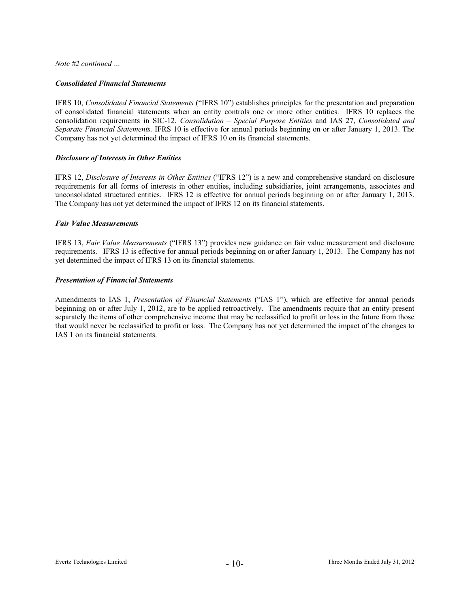*Note #2 continued …* 

#### *Consolidated Financial Statements*

IFRS 10, *Consolidated Financial Statements* ("IFRS 10") establishes principles for the presentation and preparation of consolidated financial statements when an entity controls one or more other entities. IFRS 10 replaces the consolidation requirements in SIC-12, *Consolidation – Special Purpose Entities* and IAS 27, *Consolidated and Separate Financial Statements.* IFRS 10 is effective for annual periods beginning on or after January 1, 2013. The Company has not yet determined the impact of IFRS 10 on its financial statements.

#### *Disclosure of Interests in Other Entities*

IFRS 12, *Disclosure of Interests in Other Entities* ("IFRS 12") is a new and comprehensive standard on disclosure requirements for all forms of interests in other entities, including subsidiaries, joint arrangements, associates and unconsolidated structured entities. IFRS 12 is effective for annual periods beginning on or after January 1, 2013. The Company has not yet determined the impact of IFRS 12 on its financial statements.

#### *Fair Value Measurements*

IFRS 13, *Fair Value Measurements* ("IFRS 13") provides new guidance on fair value measurement and disclosure requirements. IFRS 13 is effective for annual periods beginning on or after January 1, 2013. The Company has not yet determined the impact of IFRS 13 on its financial statements.

#### *Presentation of Financial Statements*

Amendments to IAS 1, *Presentation of Financial Statements* ("IAS 1"), which are effective for annual periods beginning on or after July 1, 2012, are to be applied retroactively. The amendments require that an entity present separately the items of other comprehensive income that may be reclassified to profit or loss in the future from those that would never be reclassified to profit or loss. The Company has not yet determined the impact of the changes to IAS 1 on its financial statements.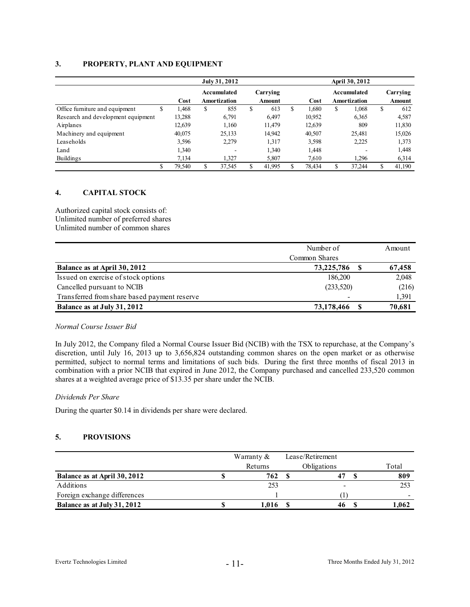#### **3. PROPERTY, PLANT AND EQUIPMENT**

|                                    | July 31, 2012 |    |                             |   |                           |   | April 30, 2012 |    |                             |    |                    |  |
|------------------------------------|---------------|----|-----------------------------|---|---------------------------|---|----------------|----|-----------------------------|----|--------------------|--|
|                                    | Cost          |    | Accumulated<br>Amortization |   | Carrying<br><b>Amount</b> |   | Cost           |    | Accumulated<br>Amortization |    | Carrying<br>Amount |  |
| Office furniture and equipment     | \$<br>1.468   | \$ | 855                         | S | 613                       | S | 1.680          | S  | 1,068                       | \$ | 612                |  |
| Research and development equipment | 13,288        |    | 6,791                       |   | 6,497                     |   | 10,952         |    | 6,365                       |    | 4,587              |  |
| Airplanes                          | 12,639        |    | 1.160                       |   | 11,479                    |   | 12,639         |    | 809                         |    | 11,830             |  |
| Machinery and equipment            | 40,075        |    | 25,133                      |   | 14,942                    |   | 40,507         |    | 25,481                      |    | 15,026             |  |
| Leaseholds                         | 3,596         |    | 2,279                       |   | 1,317                     |   | 3,598          |    | 2,225                       |    | 1,373              |  |
| Land                               | 1,340         |    |                             |   | 1,340                     |   | 1,448          |    |                             |    | 1,448              |  |
| Buildings                          | 7.134         |    | 1,327                       |   | 5,807                     |   | 7.610          |    | 1.296                       |    | 6,314              |  |
|                                    | \$<br>79,540  | S  | 37.545                      |   | 41.995                    |   | 78.434         | \$ | 37.244                      | \$ | 41,190             |  |

#### **4. CAPITAL STOCK**

Authorized capital stock consists of: Unlimited number of preferred shares Unlimited number of common shares

|                                              | Number of     | Amount |
|----------------------------------------------|---------------|--------|
|                                              | Common Shares |        |
| Balance as at April 30, 2012                 | 73,225,786    | 67,458 |
| Issued on exercise of stock options          | 186,200       | 2,048  |
| Cancelled pursuant to NCIB                   | (233,520)     | (216)  |
| Transferred from share based payment reserve |               | 1,391  |
| Balance as at July 31, 2012                  | 73,178,466    | 70,681 |

#### *Normal Course Issuer Bid*

In July 2012, the Company filed a Normal Course Issuer Bid (NCIB) with the TSX to repurchase, at the Company's discretion, until July 16, 2013 up to 3,656,824 outstanding common shares on the open market or as otherwise permitted, subject to normal terms and limitations of such bids. During the first three months of fiscal 2013 in combination with a prior NCIB that expired in June 2012, the Company purchased and cancelled 233,520 common shares at a weighted average price of \$13.35 per share under the NCIB.

#### *Dividends Per Share*

During the quarter \$0.14 in dividends per share were declared.

#### **5. PROVISIONS**

|                              | Warranty $\&$ | Lease/Retirement |       |
|------------------------------|---------------|------------------|-------|
|                              | Returns       | Obligations      | Total |
| Balance as at April 30, 2012 | 762           |                  | 809   |
| Additions                    | 253           |                  | 253   |
| Foreign exchange differences |               |                  | -     |
| Balance as at July 31, 2012  | 1.016         |                  | l.062 |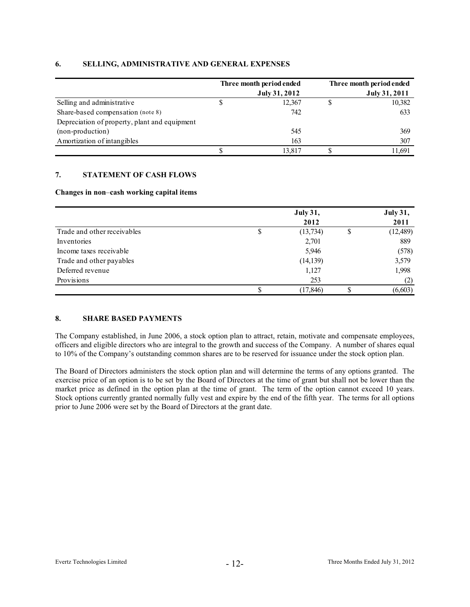#### **Three month period ended Three month period ended July 31, 2012 July 31, 2011** Selling and administrative Share-based compensation (note 8) Depreciation of property, plant and equipment (non-production) Amortization of intangibles \$ 13,817 307 \$ 11,691 545 369  $\$\qquad 12,367\qquad \$\qquad 10,382$  163 633 742

#### **6. SELLING, ADMINISTRATIVE AND GENERAL EXPENSES**

#### **7. STATEMENT OF CASH FLOWS**

#### **Changes in non**–**cash working capital items**

|                             |   | <b>July 31,</b> |   | <b>July 31,</b> |
|-----------------------------|---|-----------------|---|-----------------|
|                             |   | 2012            |   | 2011            |
| Trade and other receivables | S | (13,734)        | S | (12, 489)       |
| Inventories                 |   | 2,701           |   | 889             |
| Income taxes receivable     |   | 5,946           |   | (578)           |
| Trade and other payables    |   | (14, 139)       |   | 3,579           |
| Deferred revenue            |   | 1,127           |   | 1,998           |
| Provisions                  |   | 253             |   | (2)             |
|                             |   | (17, 846)       |   | (6, 603)        |

#### **8. SHARE BASED PAYMENTS**

The Company established, in June 2006, a stock option plan to attract, retain, motivate and compensate employees, officers and eligible directors who are integral to the growth and success of the Company. A number of shares equal to 10% of the Company's outstanding common shares are to be reserved for issuance under the stock option plan.

The Board of Directors administers the stock option plan and will determine the terms of any options granted. The exercise price of an option is to be set by the Board of Directors at the time of grant but shall not be lower than the market price as defined in the option plan at the time of grant. The term of the option cannot exceed 10 years. Stock options currently granted normally fully vest and expire by the end of the fifth year. The terms for all options prior to June 2006 were set by the Board of Directors at the grant date.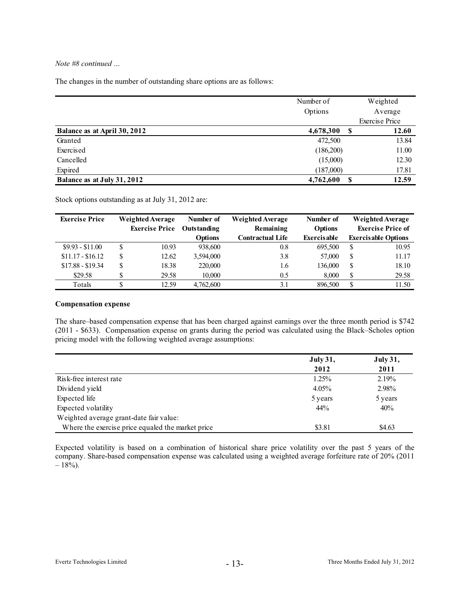#### *Note #8 continued …*

The changes in the number of outstanding share options are as follows:

|                              | Number of | Weighted              |
|------------------------------|-----------|-----------------------|
|                              | Options   | Average               |
|                              |           | <b>Exercise Price</b> |
| Balance as at April 30, 2012 | 4,678,300 | 12.60<br>S            |
| Granted                      | 472,500   | 13.84                 |
| Exercised                    | (186,200) | 11.00                 |
| Cancelled                    | (15,000)  | 12.30                 |
| Expired                      | (187,000) | 17.81                 |
| Balance as at July 31, 2012  | 4,762,600 | 12.59                 |

Stock options outstanding as at July 31, 2012 are:

| <b>Exercise Price</b> | Weighted Average |                       | Number of          | Weighted Average | Number of          |   | <b>Weighted Average</b>    |
|-----------------------|------------------|-----------------------|--------------------|------------------|--------------------|---|----------------------------|
|                       |                  | <b>Exercise Price</b> | <b>Outstanding</b> | Remaining        | <b>Options</b>     |   | <b>Exercise Price of</b>   |
|                       |                  |                       | <b>Options</b>     | Contractual Life | <b>Exercisable</b> |   | <b>Exercisable Options</b> |
| $$9.93 - $11.00$      | S                | 10.93                 | 938,600            | 0.8              | 695,500            | S | 10.95                      |
| $$11.17 - $16.12$     | S                | 12.62                 | 3,594,000          | 3.8              | 57,000             | S | 11.17                      |
| $$17.88 - $19.34$     | \$               | 18.38                 | 220,000            | 1.6              | 136,000            | S | 18.10                      |
| \$29.58               |                  | 29.58                 | 10.000             | 0.5              | 8,000              | S | 29.58                      |
| Totals                |                  | 12.59                 | 4,762,600          | 3.1              | 896,500            | S | 11.50                      |

#### **Compensation expense**

The share–based compensation expense that has been charged against earnings over the three month period is \$742 (2011 - \$633). Compensation expense on grants during the period was calculated using the Black–Scholes option pricing model with the following weighted average assumptions:

|                                                   | <b>July 31,</b> | <b>July 31,</b> |  |  |
|---------------------------------------------------|-----------------|-----------------|--|--|
|                                                   | 2012            | 2011            |  |  |
| Risk-free interest rate                           | $1.25\%$        | 2.19%           |  |  |
| Dividend yield                                    | 4.05%           | 2.98%           |  |  |
| Expected life                                     | 5 years         | 5 years         |  |  |
| Expected volatility                               | 44%             | 40%             |  |  |
| Weighted average grant-date fair value:           |                 |                 |  |  |
| Where the exercise price equaled the market price | \$3.81          | \$4.63          |  |  |

Expected volatility is based on a combination of historical share price volatility over the past 5 years of the company. Share-based compensation expense was calculated using a weighted average forfeiture rate of 20% (2011  $-18%$ ).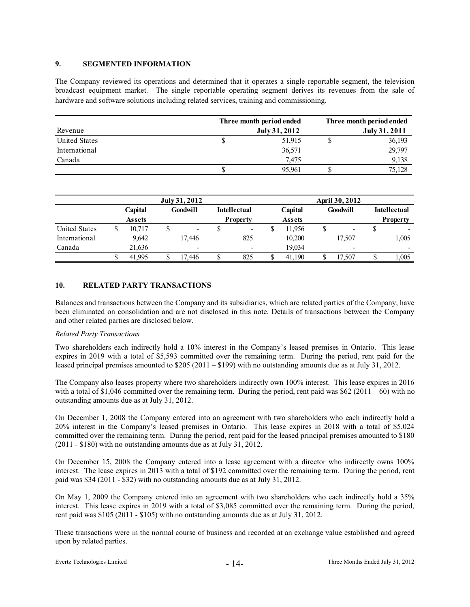#### **9. SEGMENTED INFORMATION**

The Company reviewed its operations and determined that it operates a single reportable segment, the television broadcast equipment market. The single reportable operating segment derives its revenues from the sale of hardware and software solutions including related services, training and commissioning.

|                      | Three month period ended | Three month period ended<br>July 31, 2011 |  |        |  |
|----------------------|--------------------------|-------------------------------------------|--|--------|--|
| Revenue              | July 31, 2012            |                                           |  |        |  |
| <b>United States</b> |                          | 51,915                                    |  | 36,193 |  |
| International        |                          | 36,571                                    |  | 29,797 |  |
| Canada               |                          | 7.475                                     |  | 9,138  |  |
|                      |                          | 95.961                                    |  | 75.128 |  |

|                      | July 31, 2012 |                                  |  |                          |  | April 30, 2012           |  |                 |    |                          |    |                          |
|----------------------|---------------|----------------------------------|--|--------------------------|--|--------------------------|--|-----------------|----|--------------------------|----|--------------------------|
|                      |               | Capital                          |  | Goodwill                 |  | <b>Intellectual</b>      |  | Capital         |    | Goodwill                 |    | <b>Intellectual</b>      |
|                      |               | <b>Property</b><br><b>Assets</b> |  | <b>Assets</b>            |  |                          |  | <b>Property</b> |    |                          |    |                          |
| <b>United States</b> | \$            | 10.717                           |  | -                        |  | $\overline{\phantom{0}}$ |  | 11,956          | \$ |                          |    |                          |
| International        |               | 9.642                            |  | 17,446                   |  | 825                      |  | 10,200          |    | 17.507                   |    | 1,005                    |
| Canada               |               | 21.636                           |  | $\overline{\phantom{a}}$ |  | $\overline{\phantom{0}}$ |  | 19.034          |    | $\overline{\phantom{0}}$ |    | $\overline{\phantom{0}}$ |
|                      |               | 41.995                           |  | 17.446                   |  | 825                      |  | 41.190          |    | 17.507                   | ۵D | 1,005                    |

#### **10. RELATED PARTY TRANSACTIONS**

Balances and transactions between the Company and its subsidiaries, which are related parties of the Company, have been eliminated on consolidation and are not disclosed in this note. Details of transactions between the Company and other related parties are disclosed below.

#### *Related Party Transactions*

Two shareholders each indirectly hold a 10% interest in the Company's leased premises in Ontario. This lease expires in 2019 with a total of \$5,593 committed over the remaining term. During the period, rent paid for the leased principal premises amounted to \$205 (2011 – \$199) with no outstanding amounts due as at July 31, 2012.

The Company also leases property where two shareholders indirectly own 100% interest. This lease expires in 2016 with a total of  $$1,046$  committed over the remaining term. During the period, rent paid was  $$62 (2011 - 60)$  with no outstanding amounts due as at July 31, 2012.

On December 1, 2008 the Company entered into an agreement with two shareholders who each indirectly hold a 20% interest in the Company's leased premises in Ontario. This lease expires in 2018 with a total of \$5,024 committed over the remaining term. During the period, rent paid for the leased principal premises amounted to \$180 (2011 - \$180) with no outstanding amounts due as at July 31, 2012.

On December 15, 2008 the Company entered into a lease agreement with a director who indirectly owns 100% interest. The lease expires in 2013 with a total of \$192 committed over the remaining term. During the period, rent paid was \$34 (2011 - \$32) with no outstanding amounts due as at July 31, 2012.

On May 1, 2009 the Company entered into an agreement with two shareholders who each indirectly hold a 35% interest. This lease expires in 2019 with a total of \$3,085 committed over the remaining term. During the period, rent paid was \$105 (2011 - \$105) with no outstanding amounts due as at July 31, 2012.

These transactions were in the normal course of business and recorded at an exchange value established and agreed upon by related parties.